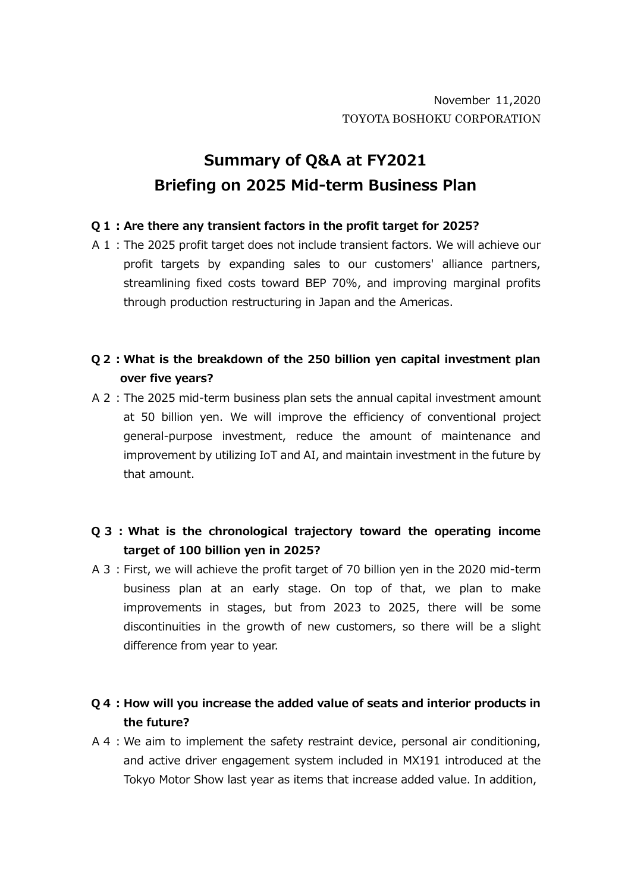# **Summary of Q&A at FY2021 Briefing on 2025 Mid-term Business Plan**

#### **Q1:Are there any transient factors in the profit target for 2025?**

A1:The 2025 profit target does not include transient factors. We will achieve our profit targets by expanding sales to our customers' alliance partners, streamlining fixed costs toward BEP 70%, and improving marginal profits through production restructuring in Japan and the Americas.

#### **Q2:What is the breakdown of the 250 billion yen capital investment plan over five years?**

A2:The 2025 mid-term business plan sets the annual capital investment amount at 50 billion yen. We will improve the efficiency of conventional project general-purpose investment, reduce the amount of maintenance and improvement by utilizing IoT and AI, and maintain investment in the future by that amount.

### **Q3:What is the chronological trajectory toward the operating income target of 100 billion yen in 2025?**

A3:First, we will achieve the profit target of 70 billion yen in the 2020 mid-term business plan at an early stage. On top of that, we plan to make improvements in stages, but from 2023 to 2025, there will be some discontinuities in the growth of new customers, so there will be a slight difference from year to year.

### **Q4:How will you increase the added value of seats and interior products in the future?**

A 4: We aim to implement the safety restraint device, personal air conditioning, and active driver engagement system included in MX191 introduced at the Tokyo Motor Show last year as items that increase added value. In addition,